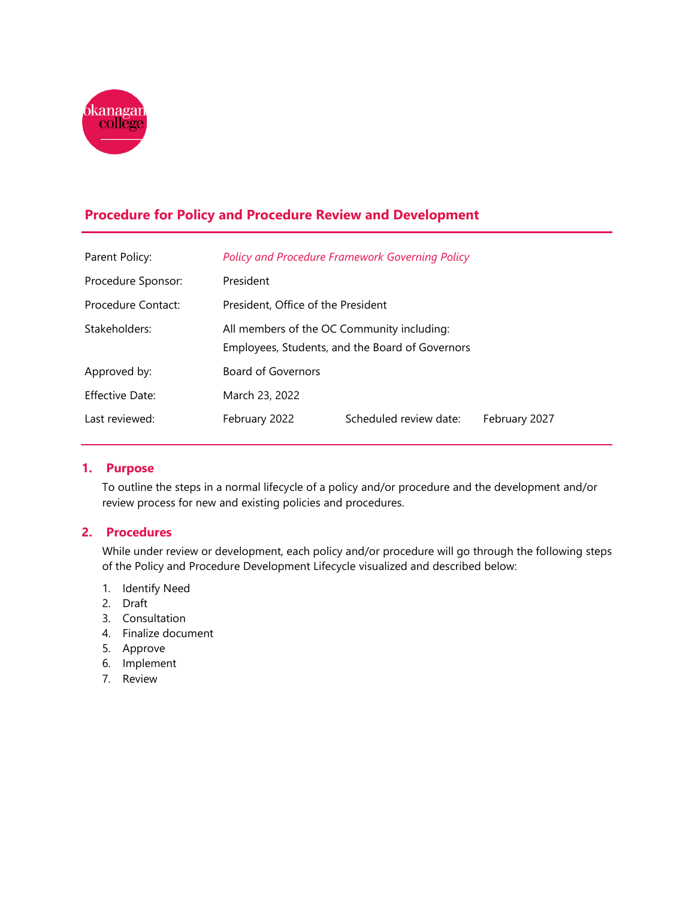

# **Procedure for Policy and Procedure Review and Development**

| Parent Policy:     |                                                                                               | <b>Policy and Procedure Framework Governing Policy</b> |               |
|--------------------|-----------------------------------------------------------------------------------------------|--------------------------------------------------------|---------------|
| Procedure Sponsor: | President                                                                                     |                                                        |               |
| Procedure Contact: | President, Office of the President                                                            |                                                        |               |
| Stakeholders:      | All members of the OC Community including:<br>Employees, Students, and the Board of Governors |                                                        |               |
| Approved by:       | Board of Governors                                                                            |                                                        |               |
| Effective Date:    | March 23, 2022                                                                                |                                                        |               |
| Last reviewed:     | February 2022                                                                                 | Scheduled review date:                                 | February 2027 |

### **1. Purpose**

To outline the steps in a normal lifecycle of a policy and/or procedure and the development and/or review process for new and existing policies and procedures.

### **2. Procedures**

While under review or development, each policy and/or procedure will go through the following steps of the Policy and Procedure Development Lifecycle visualized and described below:

- 1. Identify Need
- 2. Draft
- 3. Consultation
- 4. Finalize document
- 5. Approve
- 6. Implement
- 7. Review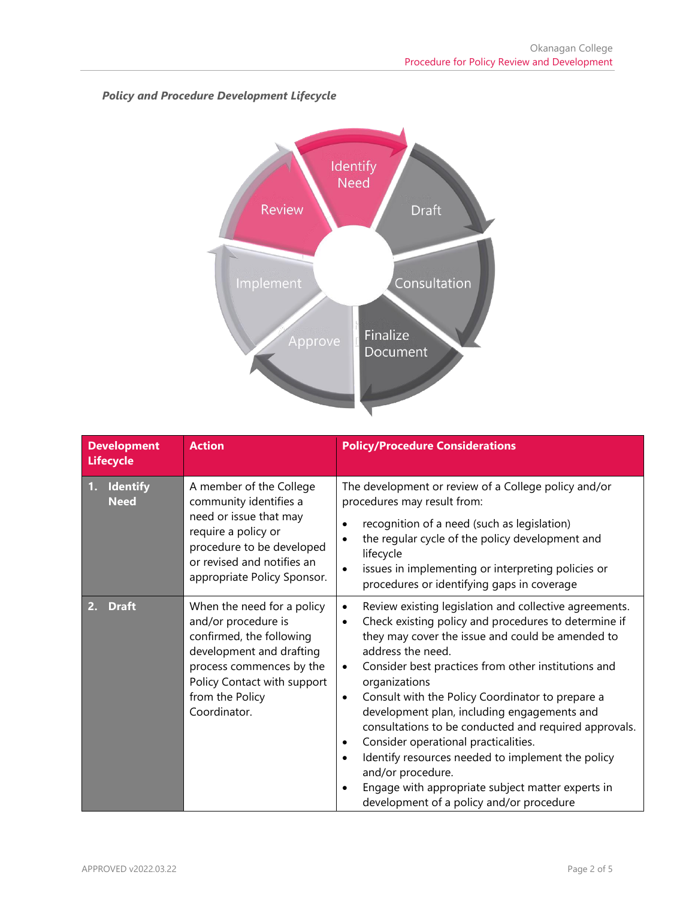

# *Policy and Procedure Development Lifecycle*

| <b>Development</b><br><b>Lifecycle</b> | <b>Action</b>                                                                                                                                                                                           | <b>Policy/Procedure Considerations</b>                                                                                                                                                                                                                                                                                                                                                                                                                                                                                                                                                                                                                                                                                                    |
|----------------------------------------|---------------------------------------------------------------------------------------------------------------------------------------------------------------------------------------------------------|-------------------------------------------------------------------------------------------------------------------------------------------------------------------------------------------------------------------------------------------------------------------------------------------------------------------------------------------------------------------------------------------------------------------------------------------------------------------------------------------------------------------------------------------------------------------------------------------------------------------------------------------------------------------------------------------------------------------------------------------|
| <b>Identify</b><br>1.<br><b>Need</b>   | A member of the College<br>community identifies a<br>need or issue that may<br>require a policy or<br>procedure to be developed<br>or revised and notifies an<br>appropriate Policy Sponsor.            | The development or review of a College policy and/or<br>procedures may result from:<br>recognition of a need (such as legislation)<br>the regular cycle of the policy development and<br>lifecycle<br>issues in implementing or interpreting policies or<br>procedures or identifying gaps in coverage                                                                                                                                                                                                                                                                                                                                                                                                                                    |
| <b>Draft</b><br>2.                     | When the need for a policy<br>and/or procedure is<br>confirmed, the following<br>development and drafting<br>process commences by the<br>Policy Contact with support<br>from the Policy<br>Coordinator. | Review existing legislation and collective agreements.<br>$\bullet$<br>Check existing policy and procedures to determine if<br>$\bullet$<br>they may cover the issue and could be amended to<br>address the need.<br>Consider best practices from other institutions and<br>$\bullet$<br>organizations<br>Consult with the Policy Coordinator to prepare a<br>$\bullet$<br>development plan, including engagements and<br>consultations to be conducted and required approvals.<br>Consider operational practicalities.<br>$\bullet$<br>Identify resources needed to implement the policy<br>$\bullet$<br>and/or procedure.<br>Engage with appropriate subject matter experts in<br>$\bullet$<br>development of a policy and/or procedure |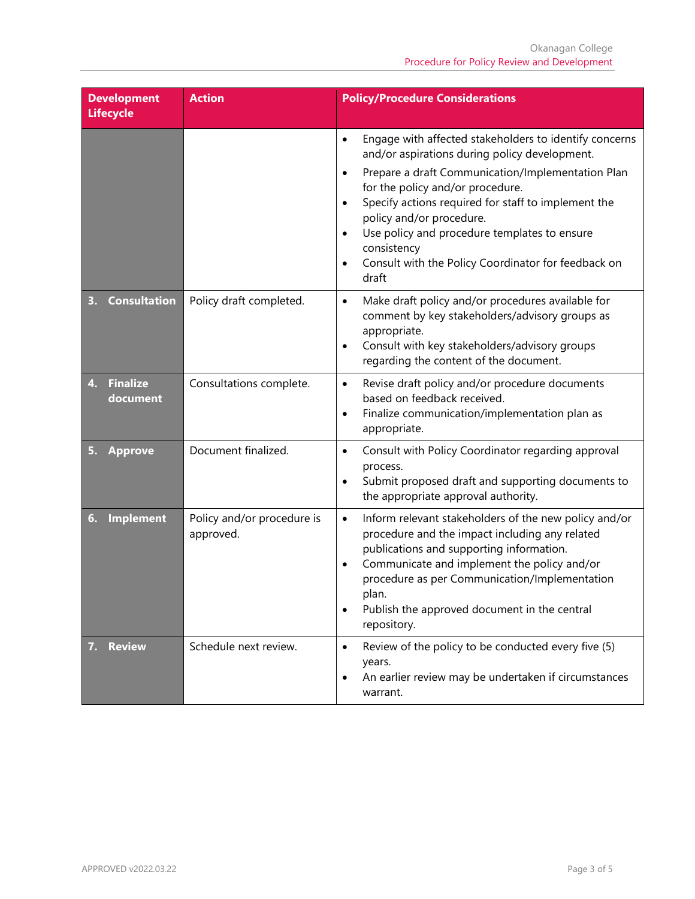| <b>Development</b><br><b>Lifecycle</b> | <b>Action</b>                           | <b>Policy/Procedure Considerations</b>                                                                                                                                                                                                                                                                                                                                                                                                                                              |
|----------------------------------------|-----------------------------------------|-------------------------------------------------------------------------------------------------------------------------------------------------------------------------------------------------------------------------------------------------------------------------------------------------------------------------------------------------------------------------------------------------------------------------------------------------------------------------------------|
|                                        |                                         | Engage with affected stakeholders to identify concerns<br>$\bullet$<br>and/or aspirations during policy development.<br>Prepare a draft Communication/Implementation Plan<br>$\bullet$<br>for the policy and/or procedure.<br>Specify actions required for staff to implement the<br>$\bullet$<br>policy and/or procedure.<br>Use policy and procedure templates to ensure<br>$\bullet$<br>consistency<br>Consult with the Policy Coordinator for feedback on<br>$\bullet$<br>draft |
| <b>Consultation</b>                    | Policy draft completed.                 | Make draft policy and/or procedures available for<br>$\bullet$<br>comment by key stakeholders/advisory groups as<br>appropriate.<br>Consult with key stakeholders/advisory groups<br>$\bullet$<br>regarding the content of the document.                                                                                                                                                                                                                                            |
| <b>Finalize</b><br>4.<br>document      | Consultations complete.                 | Revise draft policy and/or procedure documents<br>$\bullet$<br>based on feedback received.<br>Finalize communication/implementation plan as<br>$\bullet$<br>appropriate.                                                                                                                                                                                                                                                                                                            |
| <b>Approve</b>                         | Document finalized.                     | Consult with Policy Coordinator regarding approval<br>$\bullet$<br>process.<br>Submit proposed draft and supporting documents to<br>$\bullet$<br>the appropriate approval authority.                                                                                                                                                                                                                                                                                                |
| <b>Implement</b><br>6.                 | Policy and/or procedure is<br>approved. | Inform relevant stakeholders of the new policy and/or<br>$\bullet$<br>procedure and the impact including any related<br>publications and supporting information.<br>Communicate and implement the policy and/or<br>$\bullet$<br>procedure as per Communication/Implementation<br>plan.<br>Publish the approved document in the central<br>$\bullet$<br>repository.                                                                                                                  |
| <b>Review</b>                          | Schedule next review.                   | Review of the policy to be conducted every five (5)<br>$\bullet$<br>years.<br>An earlier review may be undertaken if circumstances<br>$\bullet$<br>warrant.                                                                                                                                                                                                                                                                                                                         |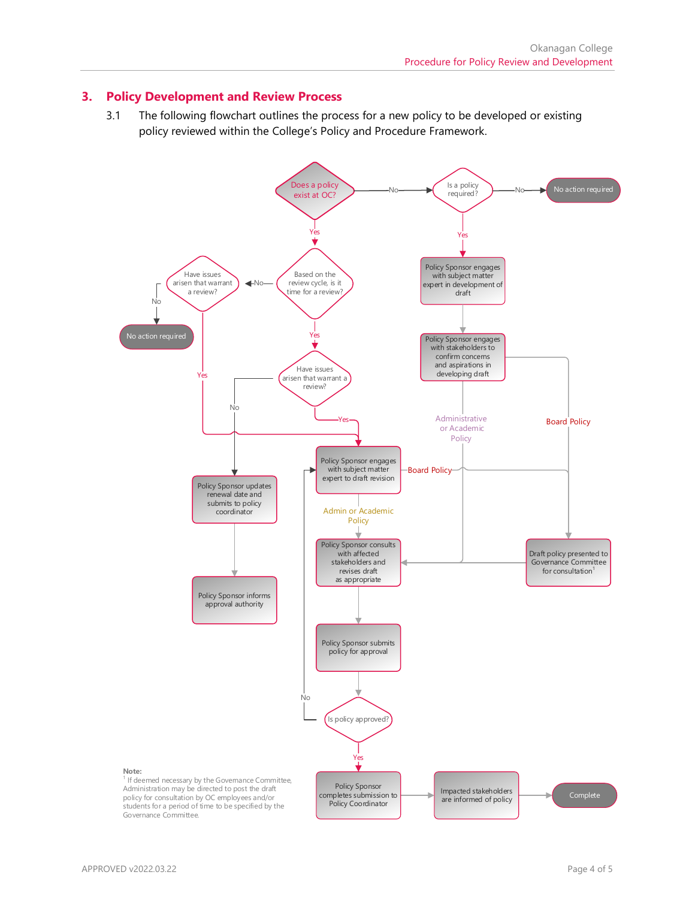#### **3. Policy Development and Review Process**

3.1 The following flowchart outlines the process for a new policy to be developed or existing policy reviewed within the College's Policy and Procedure Framework.